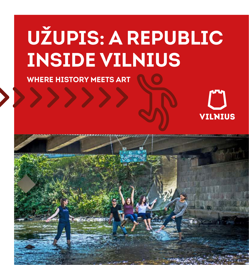# **UŽUPIS: A REPUBLIC INSIDE VILNIUS**

**WHERE HISTORY MEETS ART**

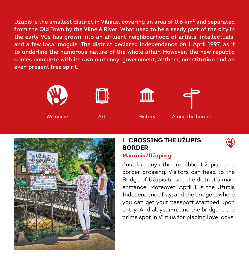**Užupis is the smallest district in Vilnius, covering an area of 0.6 km² and separated from the Old Town by the Vilnelė River. What used to be a seedy part of the city in the early 90s has grown into an affluent neighbourhood of artists, intellectuals, and a few local moguls. The district declared independence on 1 April 1997, as if to underline the humorous nature of the whole affair. However, the new republic comes complete with its own currency, government, anthem, constitution and an ever-present free spirit.**







Welcome Art History Along the border



## **1. CROSSING THE UŽUPIS BORDER**



#### **Maironio/Užupio g.**

Just like any other republic, Užupis has a border crossing. Visitors can head to the Bridge of Užupis to see the district's main entrance. Moreover, April 1 is the Užupis Independence Day, and the bridge is where you can get your passport stamped upon entry. And all year-round the bridge is the prime spot in Vilnius for placing love locks.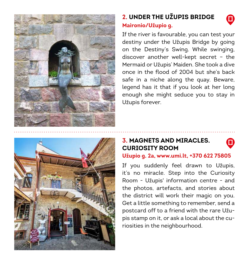

## **2. UNDER THE UŽUPIS BRIDGE Maironio/Užupio g.**

If the river is favourable, you can test your destiny under the Užupis Bridge by going on the Destiny's Swing. While swinging, discover another well-kept secret – the Mermaid or Užupis' Maiden. She took a dive once in the flood of 2004 but she's back safe in a niche along the quay. Beware, legend has it that if you look at her long enough she might seduce you to stay in Užupis forever.



## **3. MAGNETS AND MIRACLES. CURIOSITY ROOM**

#### **Užupio g. 2a, www.umi.lt, +370 622 75805**

If you suddenly feel drawn to Užupis, it's no miracle. Step into the Curiosity Room - Užupis' information centre - and the photos, artefacts, and stories about the district will work their magic on you. Get a little something to remember, send a postcard off to a friend with the rare Užupis stamp on it, or ask a local about the curiosities in the neighbourhood.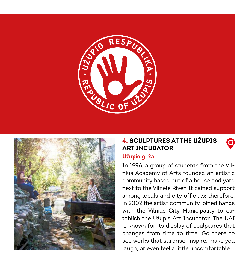



## **4. SCULPTURES AT THE UŽUPIS ART INCUBATOR**

0

#### **Užupio g. 2a**

In 1996, a group of students from the Vilnius Academy of Arts founded an artistic community based out of a house and yard next to the Vilnelė River. It gained support among locals and city officials; therefore, in 2002 the artist community joined hands with the Vilnius City Municipality to establish the Užupis Art Incubator. The UAI is known for its display of sculptures that changes from time to time. Go there to see works that surprise, inspire, make you laugh, or even feel a little uncomfortable.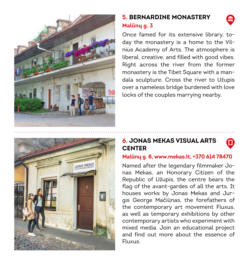

## **5. BERNARDINE MONASTERY Malūnų g. 3**

Once famed for its extensive library, today the monastery is a home to the Vilnius Academy of Arts. The atmosphere is liberal, creative, and filled with good vibes. Right across the river from the former monastery is the Tibet Square with a mandala sculpture. Cross the river to Užupis over a nameless bridge burdened with love locks of the couples marrying nearby.



## **6. JONAS MEKAS VISUAL ARTS CENTER**

#### **Malūnų g. 8, www.mekas.lt, +370 614 78470**

Named after the legendary filmmaker Jonas Mekas, an Honorary Citizen of the Republic of Užupis, the centre bears the flag of the avant-gardes of all the arts. It houses works by Jonas Mekas and Jurgis George Mačiūnas, the forefathers of the contemporary art movement Fluxus, as well as temporary exhibitions by other contemporary artists who experiment with mixed media. Join an educational project and find out more about the essence of Fluxus.

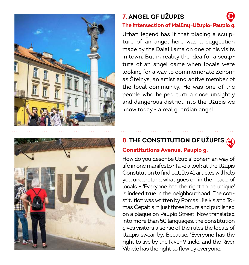

## **7. ANGEL OF UŽUPIS**

#### **The intersection of Malūnų-Užupio-Paupio g.**

Urban legend has it that placing a sculpture of an angel here was a suggestion made by the Dalai Lama on one of his visits in town. But in reality the idea for a sculpture of an angel came when locals were looking for a way to commemorate Zenonas Šteinys, an artist and active member of the local community. He was one of the people who helped turn a once unsightly and dangerous district into the Užupis we know today - a real guardian angel.



# **8. THE CONSTITUTION OF UŽUPIS**

#### **Constitutions Avenue, Paupio g.**

How do you describe Užupis' bohemian way of life in one manifesto? Take a look at the Užupis Constitution to find out. Its 41 articles will help you understand what goes on in the heads of locals - 'Everyone has the right to be unique' is indeed true in the neighbourhood. The constitution was written by Romas Lileikis and Tomas Čepaitis in just three hours and published on a plaque on Paupio Street. Now translated into more than 50 languages, the constitution gives visitors a sense of the rules the locals of Užupis swear by. Because, 'Everyone has the right to live by the River Vilnele, and the River Vilnele has the right to flow by everyone.'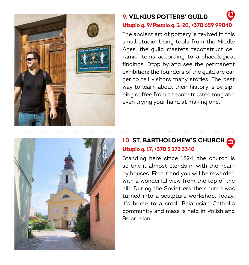

## **9. VILNIUS POTTERS' GUILD**

**Užupio g. 9/Paupio g. 2-20, +370 659 99040**

The ancient art of pottery is revived in this small studio. Using tools from the Middle Ages, the guild masters reconstruct ceramic items according to archaeological findings. Drop by and see the permanent exhibition; the founders of the guild are eager to tell visitors many stories. The best way to learn about their history is by sipping coffee from a reconstructed mug and even trying your hand at making one.



## **10. ST. BARTHOLOMEW'S CHURCH Užupio g. 17, +370 5 272 3340**

Standing here since 1824, the church is so tiny it almost blends in with the nearby houses. Find it and you will be rewarded with a wonderful view from the top of the hill. During the Soviet era the church was turned into a sculpture workshop. Today, it's home to a small Belarusian Catholic community and mass is held in Polish and Belarusian.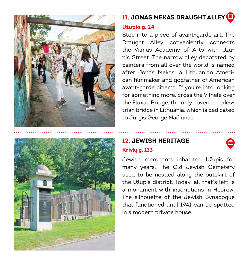



## **11. JONAS MEKAS DRAUGHT ALLEY**

#### **Užupio g. 24**

Step into a piece of avant-garde art. The Draught Alley conveniently connects the Vilnius Academy of Arts with Užupis Street. The narrow alley decorated by painters from all over the world is named after Jonas Mekas, a Lithuanian American filmmaker and godfather of American avant-garde cinema. If you're into looking for something more, cross the Vilnelė over the Fluxus Bridge, the only covered pedestrian bridge in Lithuania, which is dedicated to Jurgis George Mačiūnas.

#### **12. JEWISH HERITAGE Krivių g. 123**

Jewish merchants inhabited Užupis for many years. The Old Jewish Cemetery used to be nestled along the outskirt of the Užupis district. Today, all that's left is a monument with inscriptions in Hebrew. The silhouette of the Jewish Synagogue that functioned until 1941 can be spotted in a modern private house.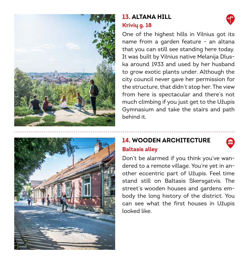

## **13. ALTANA HILL Krivių g. 18**





## **14. WOODEN ARCHITECTURE Baltasis alley**

Don't be alarmed if you think you've wandered to a remote village. You're yet in another eccentric part of Užupis. Feel time stand still on Baltasis Skersgatvis. The street's wooden houses and gardens embody the long history of the district. You can see what the first houses in Užupis looked like.

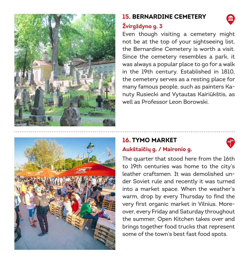

## **15. BERNARDINE CEMETERY**



## **Žvirgždyno g. 3**

Even though visiting a cemetery might not be at the top of your sightseeing list, the Bernardine Cemetery is worth a visit. Since the cemetery resembles a park, it was always a popular place to go for a walk in the 19th century. Established in 1810, the cemetery serves as a resting place for many famous people, such as painters Kanuty Rusiecki and Vytautas Kairiūkštis, as well as Professor Leon Borowski.



## **16. TYMO MARKET**



#### **Aukštaičių g. / Maironio g.**

The quarter that stood here from the 16th to 19th centuries was home to the city's leather craftsmen. It was demolished under Soviet rule and recently it was turned into a market space. When the weather's warm, drop by every Thursday to find the very first organic market in Vilnius. Moreover, every Friday and Saturday throughout the summer, Open Kitchen takes over and brings together food trucks that represent some of the town's best fast food spots.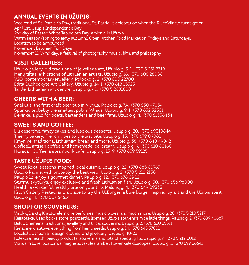#### **ANNUAL EVENTS IN UŽUPIS:**

Weekend of St. Patrick's Day, traditional St. Patrick's celebration when the River Vilnelė turns green April 1st, Užupis Independence Day 2nd day of Easter, White Tablecloth Day, a picnic in Užupis Warm season (spring to early autumn), Open Kitchen Food Market on Fridays and Saturdays. Location to be announced November, Estonian Film Days November 11, Wind day, a festival of photography, music, film, and philosophy

#### **VISIT GALLERIES:**

Užupio gallery, old traditions of jeweller's art, Užupio g. 3-1, +370 5 231 2318 Menų tiltas, exhibitions of Lithuanian artists, Užupio g. 16, +370 606 28088 V2O, contemporary jewellery, Polocko g. 2, +370 600 22700 Edita Suchockyte Art Gallery, Užupio g. 14-1, +370 618 15323 Tartle, Lithuanian art centre, Užupio g. 40, +370 5 2681888

#### **CHEERS WITH A BEER:**

Šnekutis, the first craft beer pub in Vilnius, Polocko g. 7A, +370 650 47054 Špunka, probably the smallest pub in Vilnius, Užupio g. 9-1, +370 652 32361 Devinkė, a pub for poets, bartenders and beer fans, Užupio g. 4, +370 61536434

#### **SWEETS AND COFFEE:**

Liu desertinė, fancy cakes and luscious desserts, Užupio g. 20, +370 69010644 Thierry bakery, French vibes to the last bite, Užupio g. 13, +370 679 09081 Kmyninė, traditional Lithuanian bread and more, Užupio g. 38, +370 640 49042 Coffee1, artisan coffee and homemade ice-cream, Užupio g. 9, +370 610 60160 Huracán Coffee, a steampunk cafe, Užupio g. 13-9, +370 659 59125

#### **TASTE UŽUPIS FOOD:**

Sweet Root, seasons-inspired local cuisine, Užupio g. 22, +370 685 60767 Užupio kavinė, with probably the best view, Užupio g. 2, +370 5 212 2138 Paupio 12, enjoy a gourmet dinner, Paupio g. 12, +370 676 09 12 Šturmų švyturys, enjoy exclusive and fresh Lithuanian fish, Užupio g. 30, +370 656 98000 Health, a wonderful healthy bite on your trip, Malūnų g. 4, +370 649 09333 Kitch Gallery Restaurant, a place to try the UžBurger, a blue burger inspired by art and the Užupis spirit, Užupio g. 4, +370 607 64614

#### **SHOP FOR SOUVENIRS:**

Visokių Daiktų Krautuvėlė, niche perfumes, music boxes, and much more, Užupio g. 20, +370 5 210 5217 Keistoteka, Used books store, postcards, licensed Užupis souvenirs, nice little things, Paupio g. 2, +370 689 40687 Baltic Shamans, traditional jewellery and tribal souvenirs, Užupio g. 2, +370 620 35311 Kanapinė krautuvė, everything from hemp seeds, Užupio g. 14, +370 645 37801 Locals.lt, Lithuanian design, clothes, and jewellery, Užupio g. 10-23 Kolekcija, health, beauty products, souvenirs and lots of special gifts, Užupio g. 7, +370 5 212 0012 Vilnius in Love, postcards, magnets, textiles, amber, flower kaleidoscopes, Užupio g. 1, +370 699 56641